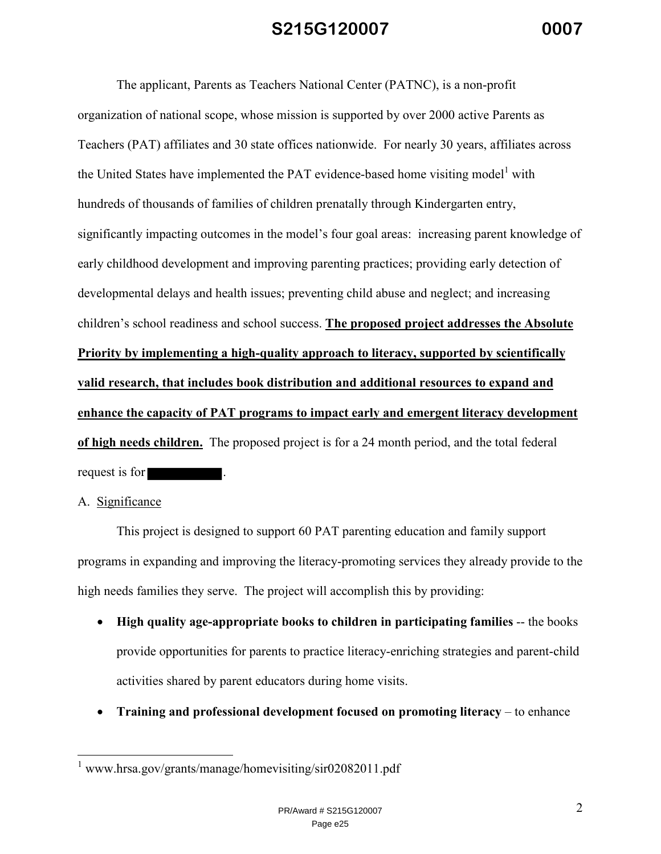The applicant, Parents as Teachers National Center (PATNC), is a non-profit organization of national scope, whose mission is supported by over 2000 active Parents as Teachers (PAT) affiliates and 30 state offices nationwide. For nearly 30 years, affiliates across the United States have implemented the PAT evidence-based home visiting model<sup>1</sup> with hundreds of thousands of families of children prenatally through Kindergarten entry, significantly impacting outcomes in the model's four goal areas: increasing parent knowledge of early childhood development and improving parenting practices; providing early detection of developmental delays and health issues; preventing child abuse and neglect; and increasing children's school readiness and school success. **The proposed project addresses the Absolute Priority by implementing a high-quality approach to literacy, supported by scientifically valid research, that includes book distribution and additional resources to expand and enhance the capacity of PAT programs to impact early and emergent literacy development of high needs children.** The proposed project is for a 24 month period, and the total federal request is for .

#### A. Significance

<u>.</u>

 This project is designed to support 60 PAT parenting education and family support programs in expanding and improving the literacy-promoting services they already provide to the high needs families they serve. The project will accomplish this by providing:

- **High quality age-appropriate books to children in participating families** -- the books provide opportunities for parents to practice literacy-enriching strategies and parent-child activities shared by parent educators during home visits.
- **Training and professional development focused on promoting literacy** to enhance

<sup>&</sup>lt;sup>1</sup> www.hrsa.gov/grants/manage/homevisiting/sir02082011.pdf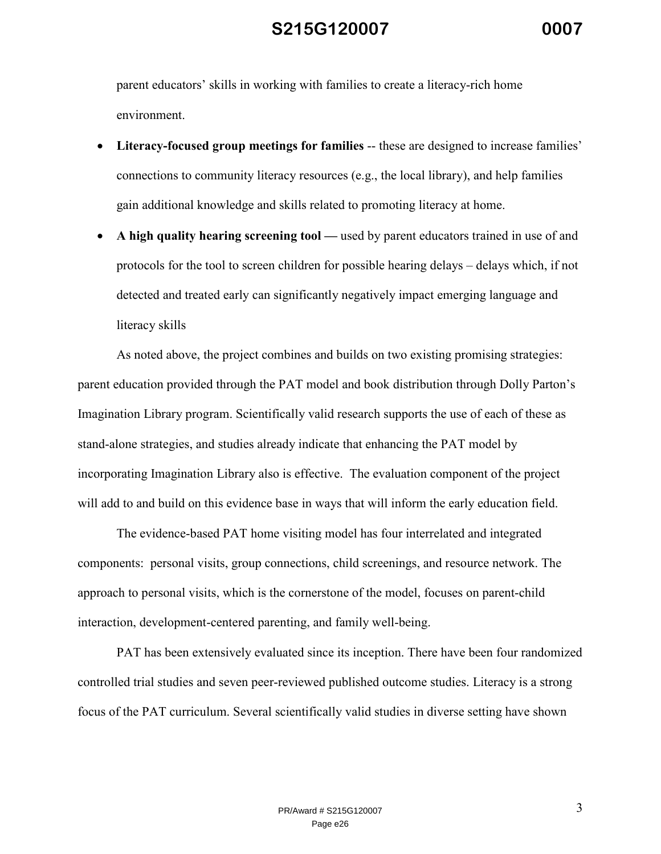parent educators' skills in working with families to create a literacy-rich home environment.

- **Literacy-focused group meetings for families** -- these are designed to increase families' connections to community literacy resources (e.g., the local library), and help families gain additional knowledge and skills related to promoting literacy at home.
- **A high quality hearing screening tool —** used by parent educators trained in use of and protocols for the tool to screen children for possible hearing delays – delays which, if not detected and treated early can significantly negatively impact emerging language and literacy skills

 As noted above, the project combines and builds on two existing promising strategies: parent education provided through the PAT model and book distribution through Dolly Parton's Imagination Library program. Scientifically valid research supports the use of each of these as stand-alone strategies, and studies already indicate that enhancing the PAT model by incorporating Imagination Library also is effective. The evaluation component of the project will add to and build on this evidence base in ways that will inform the early education field.

 The evidence-based PAT home visiting model has four interrelated and integrated components: personal visits, group connections, child screenings, and resource network. The approach to personal visits, which is the cornerstone of the model, focuses on parent-child interaction, development-centered parenting, and family well-being.

 PAT has been extensively evaluated since its inception. There have been four randomized controlled trial studies and seven peer-reviewed published outcome studies. Literacy is a strong focus of the PAT curriculum. Several scientifically valid studies in diverse setting have shown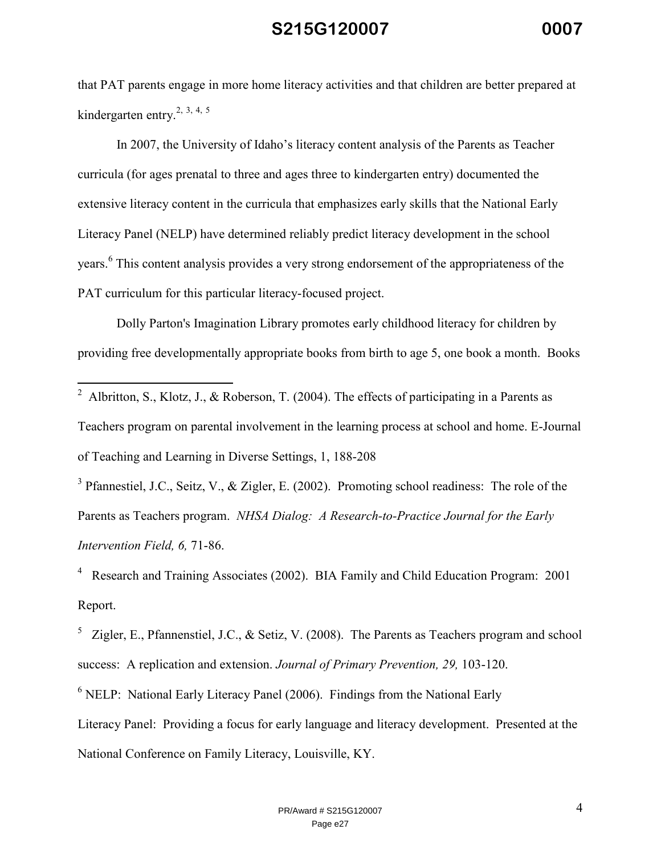that PAT parents engage in more home literacy activities and that children are better prepared at kindergarten entry.<sup>2, 3, 4, 5</sup>

 In 2007, the University of Idaho's literacy content analysis of the Parents as Teacher curricula (for ages prenatal to three and ages three to kindergarten entry) documented the extensive literacy content in the curricula that emphasizes early skills that the National Early Literacy Panel (NELP) have determined reliably predict literacy development in the school years.<sup>6</sup> This content analysis provides a very strong endorsement of the appropriateness of the PAT curriculum for this particular literacy-focused project.

 Dolly Parton's Imagination Library promotes early childhood literacy for children by providing free developmentally appropriate books from birth to age 5, one book a month. Books

 $3$  Pfannestiel, J.C., Seitz, V., & Zigler, E. (2002). Promoting school readiness: The role of the Parents as Teachers program. *NHSA Dialog: A Research-to-Practice Journal for the Early Intervention Field, 6,* 71-86.

<sup>4</sup> Research and Training Associates (2002). BIA Family and Child Education Program: 2001 Report.

<sup>5</sup> Zigler, E., Pfannenstiel, J.C., & Setiz, V. (2008). The Parents as Teachers program and school success: A replication and extension. *Journal of Primary Prevention, 29,* 103-120.

<sup>6</sup> NELP: National Early Literacy Panel (2006). Findings from the National Early

Literacy Panel: Providing a focus for early language and literacy development. Presented at the National Conference on Family Literacy, Louisville, KY.

<sup>&</sup>lt;sup>2</sup> Albritton, S., Klotz, J., & Roberson, T. (2004). The effects of participating in a Parents as Teachers program on parental involvement in the learning process at school and home. E-Journal of Teaching and Learning in Diverse Settings, 1, 188-208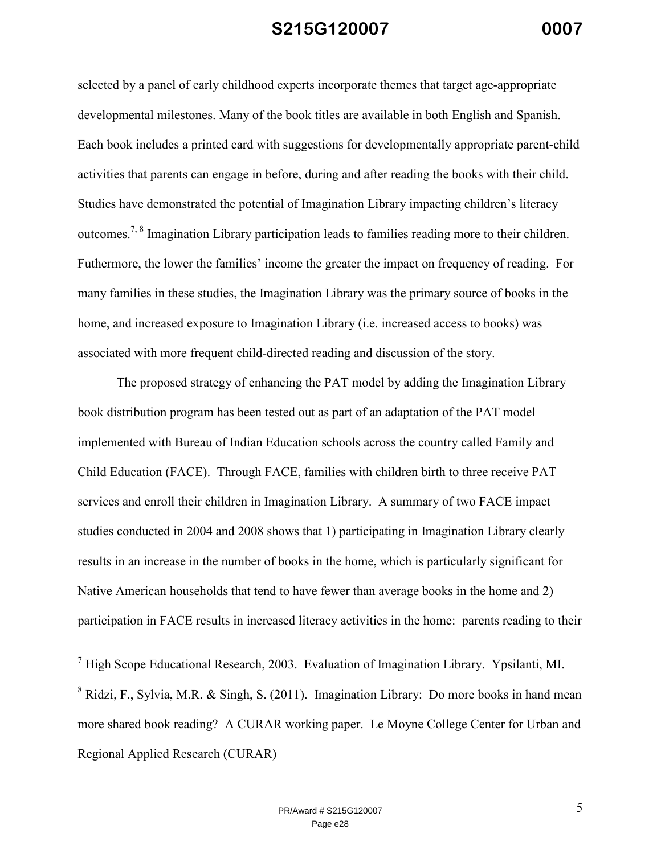selected by a panel of early childhood experts incorporate themes that target age-appropriate developmental milestones. Many of the book titles are available in both English and Spanish. Each book includes a printed card with suggestions for developmentally appropriate parent-child activities that parents can engage in before, during and after reading the books with their child. Studies have demonstrated the potential of Imagination Library impacting children's literacy outcomes.7, 8 Imagination Library participation leads to families reading more to their children. Futhermore, the lower the families' income the greater the impact on frequency of reading. For many families in these studies, the Imagination Library was the primary source of books in the home, and increased exposure to Imagination Library (i.e. increased access to books) was associated with more frequent child-directed reading and discussion of the story.

 The proposed strategy of enhancing the PAT model by adding the Imagination Library book distribution program has been tested out as part of an adaptation of the PAT model implemented with Bureau of Indian Education schools across the country called Family and Child Education (FACE). Through FACE, families with children birth to three receive PAT services and enroll their children in Imagination Library. A summary of two FACE impact studies conducted in 2004 and 2008 shows that 1) participating in Imagination Library clearly results in an increase in the number of books in the home, which is particularly significant for Native American households that tend to have fewer than average books in the home and 2) participation in FACE results in increased literacy activities in the home: parents reading to their

<sup>&</sup>lt;sup>7</sup> High Scope Educational Research, 2003. Evaluation of Imagination Library. Ypsilanti, MI.

<sup>&</sup>lt;sup>8</sup> Ridzi, F., Sylvia, M.R. & Singh, S. (2011). Imagination Library: Do more books in hand mean more shared book reading? A CURAR working paper. Le Moyne College Center for Urban and Regional Applied Research (CURAR)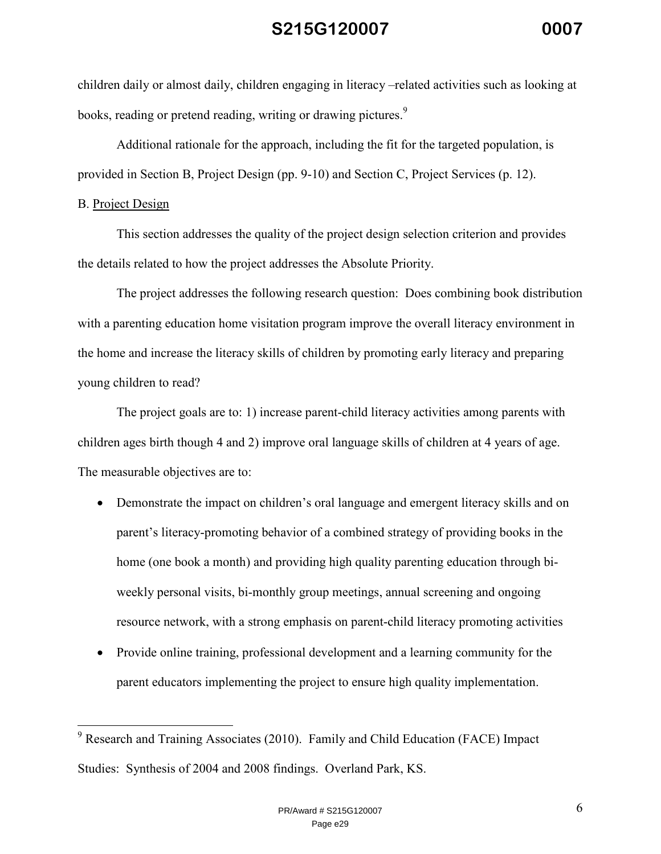children daily or almost daily, children engaging in literacy –related activities such as looking at books, reading or pretend reading, writing or drawing pictures.<sup>9</sup>

 Additional rationale for the approach, including the fit for the targeted population, is provided in Section B, Project Design (pp. 9-10) and Section C, Project Services (p. 12).

#### B. Project Design

l

 This section addresses the quality of the project design selection criterion and provides the details related to how the project addresses the Absolute Priority.

 The project addresses the following research question: Does combining book distribution with a parenting education home visitation program improve the overall literacy environment in the home and increase the literacy skills of children by promoting early literacy and preparing young children to read?

 The project goals are to: 1) increase parent-child literacy activities among parents with children ages birth though 4 and 2) improve oral language skills of children at 4 years of age. The measurable objectives are to:

- Demonstrate the impact on children's oral language and emergent literacy skills and on parent's literacy-promoting behavior of a combined strategy of providing books in the home (one book a month) and providing high quality parenting education through biweekly personal visits, bi-monthly group meetings, annual screening and ongoing resource network, with a strong emphasis on parent-child literacy promoting activities
- Provide online training, professional development and a learning community for the parent educators implementing the project to ensure high quality implementation.

<sup>&</sup>lt;sup>9</sup> Research and Training Associates (2010). Family and Child Education (FACE) Impact Studies: Synthesis of 2004 and 2008 findings. Overland Park, KS.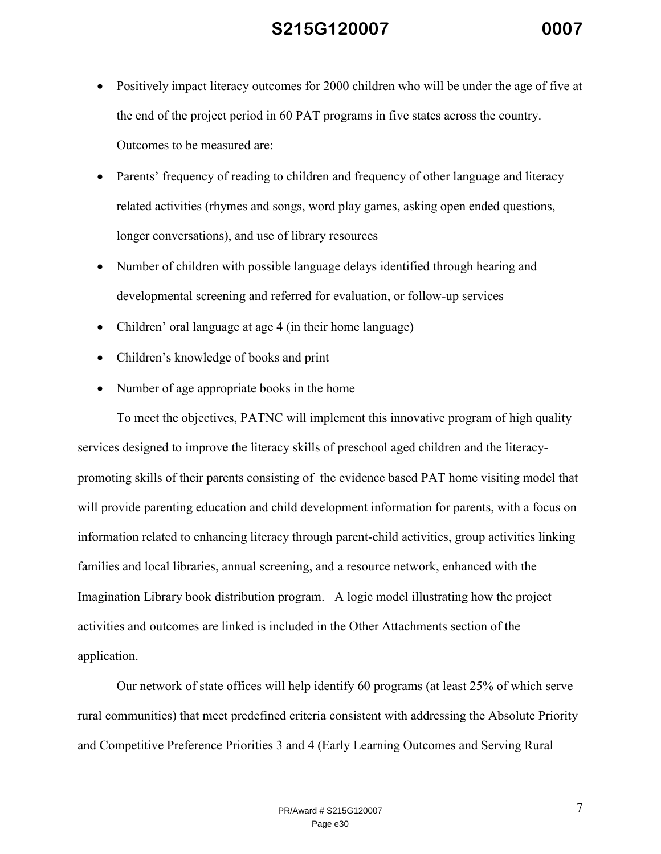- Positively impact literacy outcomes for 2000 children who will be under the age of five at the end of the project period in 60 PAT programs in five states across the country. Outcomes to be measured are:
- Parents' frequency of reading to children and frequency of other language and literacy related activities (rhymes and songs, word play games, asking open ended questions, longer conversations), and use of library resources
- Number of children with possible language delays identified through hearing and developmental screening and referred for evaluation, or follow-up services
- Children' oral language at age 4 (in their home language)
- Children's knowledge of books and print
- Number of age appropriate books in the home

 To meet the objectives, PATNC will implement this innovative program of high quality services designed to improve the literacy skills of preschool aged children and the literacypromoting skills of their parents consisting of the evidence based PAT home visiting model that will provide parenting education and child development information for parents, with a focus on information related to enhancing literacy through parent-child activities, group activities linking families and local libraries, annual screening, and a resource network, enhanced with the Imagination Library book distribution program. A logic model illustrating how the project activities and outcomes are linked is included in the Other Attachments section of the application.

 Our network of state offices will help identify 60 programs (at least 25% of which serve rural communities) that meet predefined criteria consistent with addressing the Absolute Priority and Competitive Preference Priorities 3 and 4 (Early Learning Outcomes and Serving Rural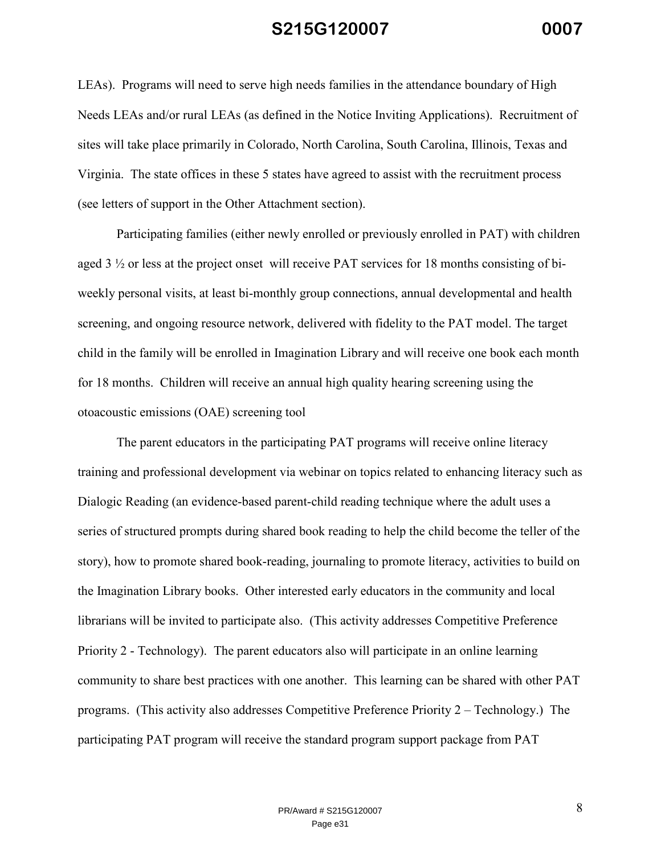LEAs). Programs will need to serve high needs families in the attendance boundary of High Needs LEAs and/or rural LEAs (as defined in the Notice Inviting Applications). Recruitment of sites will take place primarily in Colorado, North Carolina, South Carolina, Illinois, Texas and Virginia. The state offices in these 5 states have agreed to assist with the recruitment process (see letters of support in the Other Attachment section).

 Participating families (either newly enrolled or previously enrolled in PAT) with children aged 3 ½ or less at the project onset will receive PAT services for 18 months consisting of biweekly personal visits, at least bi-monthly group connections, annual developmental and health screening, and ongoing resource network, delivered with fidelity to the PAT model. The target child in the family will be enrolled in Imagination Library and will receive one book each month for 18 months. Children will receive an annual high quality hearing screening using the otoacoustic emissions (OAE) screening tool

 The parent educators in the participating PAT programs will receive online literacy training and professional development via webinar on topics related to enhancing literacy such as Dialogic Reading (an evidence-based parent-child reading technique where the adult uses a series of structured prompts during shared book reading to help the child become the teller of the story), how to promote shared book-reading, journaling to promote literacy, activities to build on the Imagination Library books. Other interested early educators in the community and local librarians will be invited to participate also. (This activity addresses Competitive Preference Priority 2 - Technology). The parent educators also will participate in an online learning community to share best practices with one another. This learning can be shared with other PAT programs. (This activity also addresses Competitive Preference Priority 2 – Technology.) The participating PAT program will receive the standard program support package from PAT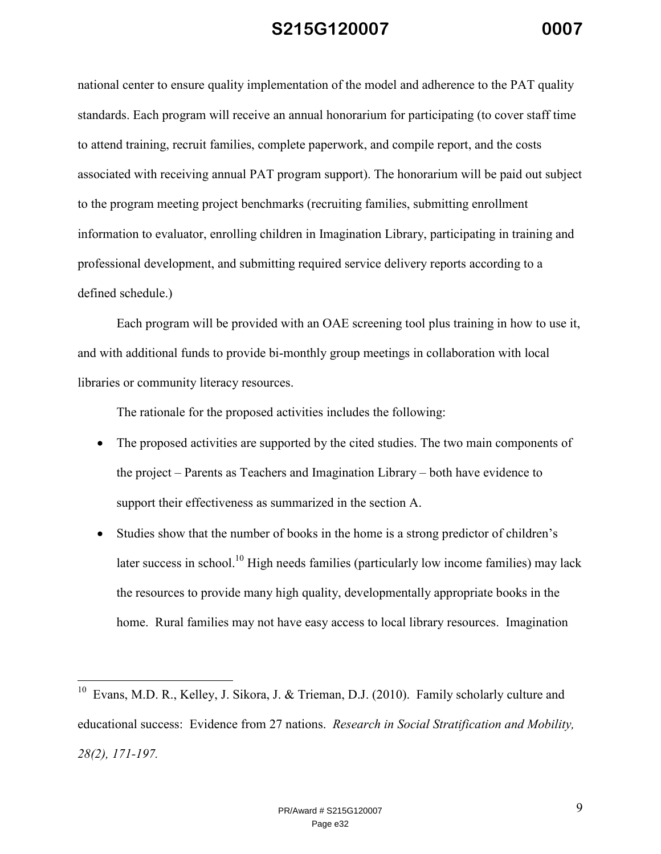national center to ensure quality implementation of the model and adherence to the PAT quality standards. Each program will receive an annual honorarium for participating (to cover staff time to attend training, recruit families, complete paperwork, and compile report, and the costs associated with receiving annual PAT program support). The honorarium will be paid out subject to the program meeting project benchmarks (recruiting families, submitting enrollment information to evaluator, enrolling children in Imagination Library, participating in training and professional development, and submitting required service delivery reports according to a defined schedule.)

 Each program will be provided with an OAE screening tool plus training in how to use it, and with additional funds to provide bi-monthly group meetings in collaboration with local libraries or community literacy resources.

The rationale for the proposed activities includes the following:

<u>.</u>

- The proposed activities are supported by the cited studies. The two main components of the project – Parents as Teachers and Imagination Library – both have evidence to support their effectiveness as summarized in the section A.
- Studies show that the number of books in the home is a strong predictor of children's later success in school.<sup>10</sup> High needs families (particularly low income families) may lack the resources to provide many high quality, developmentally appropriate books in the home. Rural families may not have easy access to local library resources. Imagination

<sup>&</sup>lt;sup>10</sup> Evans, M.D. R., Kelley, J. Sikora, J. & Trieman, D.J. (2010). Family scholarly culture and educational success: Evidence from 27 nations. *Research in Social Stratification and Mobility, 28(2), 171-197.*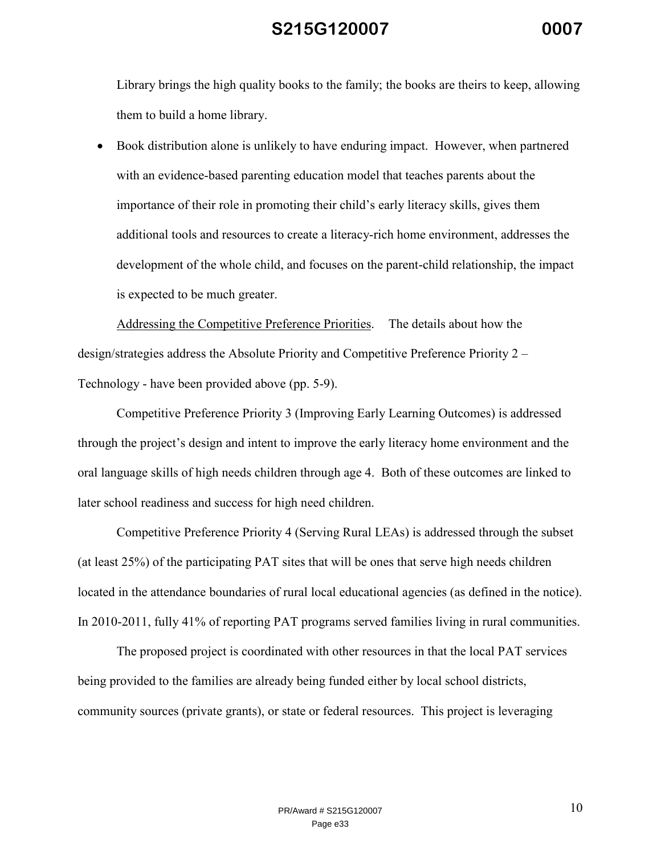Library brings the high quality books to the family; the books are theirs to keep, allowing them to build a home library.

• Book distribution alone is unlikely to have enduring impact. However, when partnered with an evidence-based parenting education model that teaches parents about the importance of their role in promoting their child's early literacy skills, gives them additional tools and resources to create a literacy-rich home environment, addresses the development of the whole child, and focuses on the parent-child relationship, the impact is expected to be much greater.

Addressing the Competitive Preference Priorities. The details about how the design/strategies address the Absolute Priority and Competitive Preference Priority 2 – Technology - have been provided above (pp. 5-9).

 Competitive Preference Priority 3 (Improving Early Learning Outcomes) is addressed through the project's design and intent to improve the early literacy home environment and the oral language skills of high needs children through age 4. Both of these outcomes are linked to later school readiness and success for high need children.

 Competitive Preference Priority 4 (Serving Rural LEAs) is addressed through the subset (at least 25%) of the participating PAT sites that will be ones that serve high needs children located in the attendance boundaries of rural local educational agencies (as defined in the notice). In 2010-2011, fully 41% of reporting PAT programs served families living in rural communities.

 The proposed project is coordinated with other resources in that the local PAT services being provided to the families are already being funded either by local school districts, community sources (private grants), or state or federal resources. This project is leveraging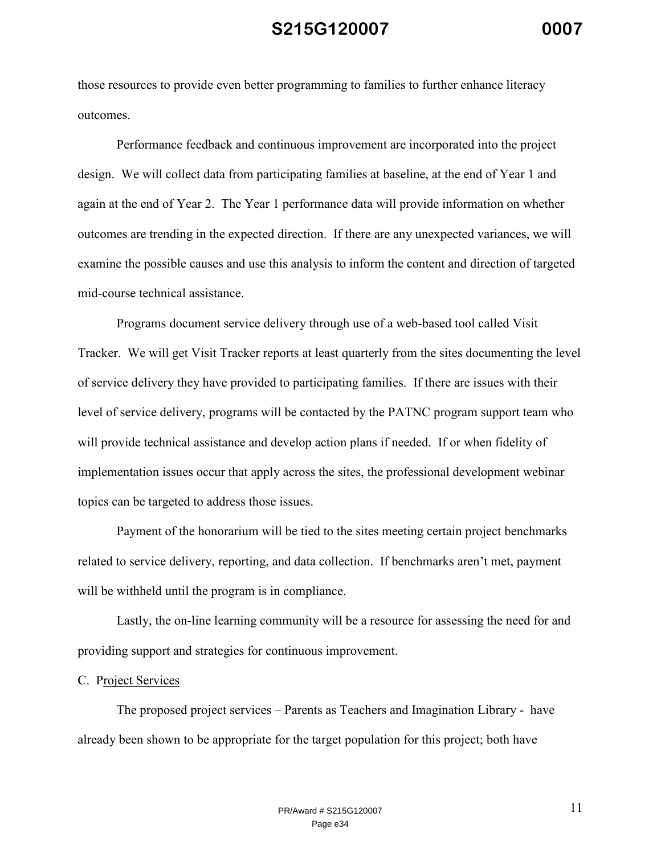those resources to provide even better programming to families to further enhance literacy outcomes.

 Performance feedback and continuous improvement are incorporated into the project design. We will collect data from participating families at baseline, at the end of Year 1 and again at the end of Year 2. The Year 1 performance data will provide information on whether outcomes are trending in the expected direction. If there are any unexpected variances, we will examine the possible causes and use this analysis to inform the content and direction of targeted mid-course technical assistance.

 Programs document service delivery through use of a web-based tool called Visit Tracker. We will get Visit Tracker reports at least quarterly from the sites documenting the level of service delivery they have provided to participating families. If there are issues with their level of service delivery, programs will be contacted by the PATNC program support team who will provide technical assistance and develop action plans if needed. If or when fidelity of implementation issues occur that apply across the sites, the professional development webinar topics can be targeted to address those issues.

 Payment of the honorarium will be tied to the sites meeting certain project benchmarks related to service delivery, reporting, and data collection. If benchmarks aren't met, payment will be withheld until the program is in compliance.

 Lastly, the on-line learning community will be a resource for assessing the need for and providing support and strategies for continuous improvement.

#### C. Project Services

 The proposed project services – Parents as Teachers and Imagination Library - have already been shown to be appropriate for the target population for this project; both have

> PR/Award # S215G120007 Page e34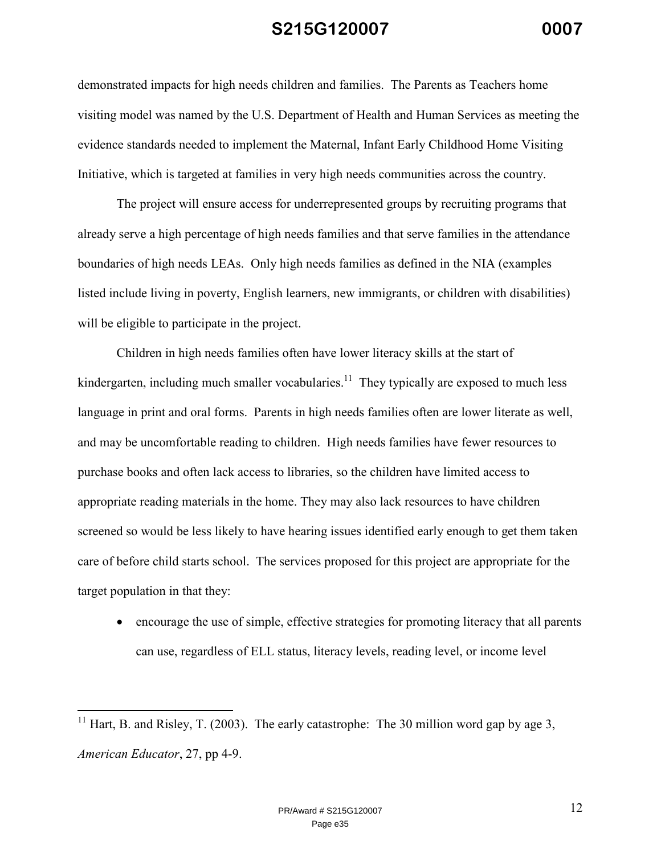demonstrated impacts for high needs children and families. The Parents as Teachers home visiting model was named by the U.S. Department of Health and Human Services as meeting the evidence standards needed to implement the Maternal, Infant Early Childhood Home Visiting Initiative, which is targeted at families in very high needs communities across the country.

 The project will ensure access for underrepresented groups by recruiting programs that already serve a high percentage of high needs families and that serve families in the attendance boundaries of high needs LEAs. Only high needs families as defined in the NIA (examples listed include living in poverty, English learners, new immigrants, or children with disabilities) will be eligible to participate in the project.

 Children in high needs families often have lower literacy skills at the start of kindergarten, including much smaller vocabularies.<sup>11</sup> They typically are exposed to much less language in print and oral forms. Parents in high needs families often are lower literate as well, and may be uncomfortable reading to children. High needs families have fewer resources to purchase books and often lack access to libraries, so the children have limited access to appropriate reading materials in the home. They may also lack resources to have children screened so would be less likely to have hearing issues identified early enough to get them taken care of before child starts school. The services proposed for this project are appropriate for the target population in that they:

• encourage the use of simple, effective strategies for promoting literacy that all parents can use, regardless of ELL status, literacy levels, reading level, or income level

-

<sup>&</sup>lt;sup>11</sup> Hart, B. and Risley, T. (2003). The early catastrophe: The 30 million word gap by age 3, *American Educator*, 27, pp 4-9.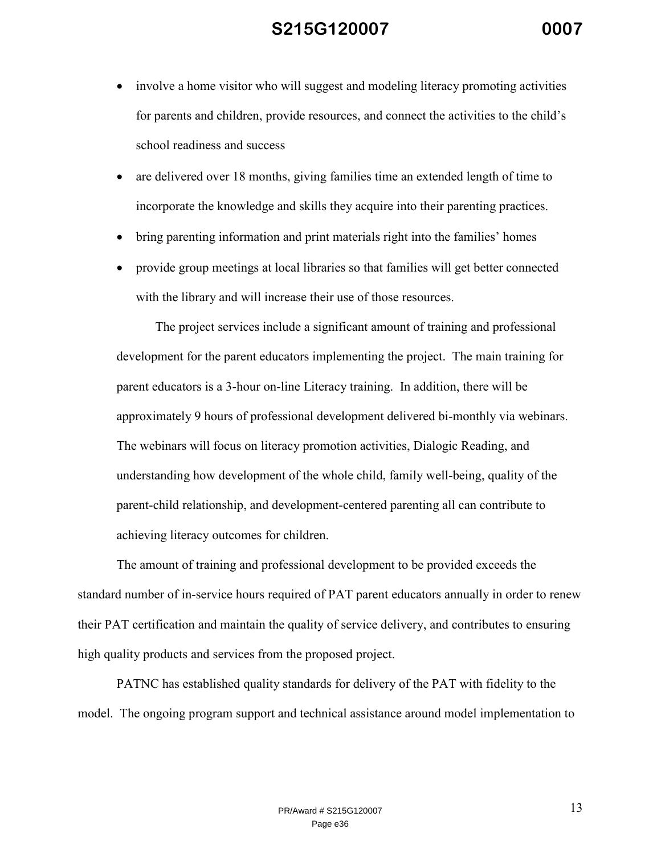- involve a home visitor who will suggest and modeling literacy promoting activities for parents and children, provide resources, and connect the activities to the child's school readiness and success
- are delivered over 18 months, giving families time an extended length of time to incorporate the knowledge and skills they acquire into their parenting practices.
- bring parenting information and print materials right into the families' homes
- provide group meetings at local libraries so that families will get better connected with the library and will increase their use of those resources.

 The project services include a significant amount of training and professional development for the parent educators implementing the project. The main training for parent educators is a 3-hour on-line Literacy training. In addition, there will be approximately 9 hours of professional development delivered bi-monthly via webinars. The webinars will focus on literacy promotion activities, Dialogic Reading, and understanding how development of the whole child, family well-being, quality of the parent-child relationship, and development-centered parenting all can contribute to achieving literacy outcomes for children.

 The amount of training and professional development to be provided exceeds the standard number of in-service hours required of PAT parent educators annually in order to renew their PAT certification and maintain the quality of service delivery, and contributes to ensuring high quality products and services from the proposed project.

 PATNC has established quality standards for delivery of the PAT with fidelity to the model. The ongoing program support and technical assistance around model implementation to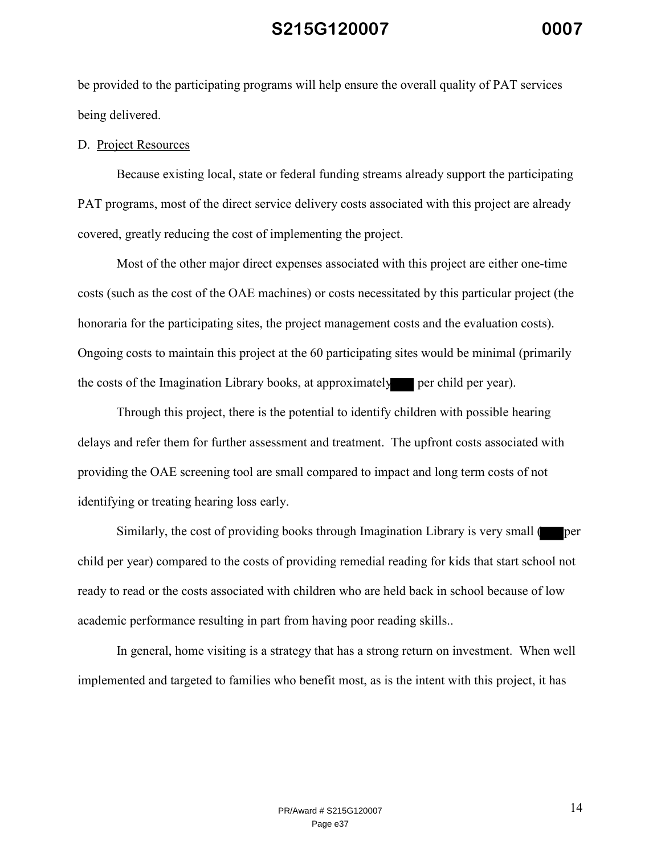be provided to the participating programs will help ensure the overall quality of PAT services being delivered.

#### D. Project Resources

 Because existing local, state or federal funding streams already support the participating PAT programs, most of the direct service delivery costs associated with this project are already covered, greatly reducing the cost of implementing the project.

 Most of the other major direct expenses associated with this project are either one-time costs (such as the cost of the OAE machines) or costs necessitated by this particular project (the honoraria for the participating sites, the project management costs and the evaluation costs). Ongoing costs to maintain this project at the 60 participating sites would be minimal (primarily the costs of the Imagination Library books, at approximately per child per year).

 Through this project, there is the potential to identify children with possible hearing delays and refer them for further assessment and treatment. The upfront costs associated with providing the OAE screening tool are small compared to impact and long term costs of not identifying or treating hearing loss early.

Similarly, the cost of providing books through Imagination Library is very small (per child per year) compared to the costs of providing remedial reading for kids that start school not ready to read or the costs associated with children who are held back in school because of low academic performance resulting in part from having poor reading skills..

 In general, home visiting is a strategy that has a strong return on investment. When well implemented and targeted to families who benefit most, as is the intent with this project, it has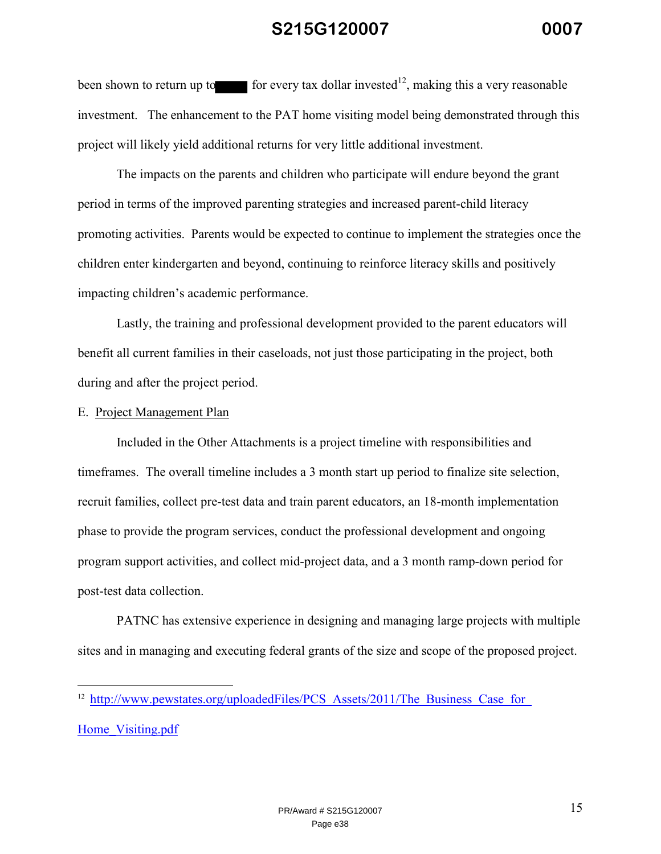been shown to return up to for every tax dollar invested<sup>12</sup>, making this a very reasonable investment. The enhancement to the PAT home visiting model being demonstrated through this project will likely yield additional returns for very little additional investment.

 The impacts on the parents and children who participate will endure beyond the grant period in terms of the improved parenting strategies and increased parent-child literacy promoting activities. Parents would be expected to continue to implement the strategies once the children enter kindergarten and beyond, continuing to reinforce literacy skills and positively impacting children's academic performance.

 Lastly, the training and professional development provided to the parent educators will benefit all current families in their caseloads, not just those participating in the project, both during and after the project period.

#### E. Project Management Plan

 Included in the Other Attachments is a project timeline with responsibilities and timeframes. The overall timeline includes a 3 month start up period to finalize site selection, recruit families, collect pre-test data and train parent educators, an 18-month implementation phase to provide the program services, conduct the professional development and ongoing program support activities, and collect mid-project data, and a 3 month ramp-down period for post-test data collection.

 PATNC has extensive experience in designing and managing large projects with multiple sites and in managing and executing federal grants of the size and scope of the proposed project.

Home Visiting.pdf

<u>.</u>

<sup>&</sup>lt;sup>12</sup> http://www.pewstates.org/uploadedFiles/PCS\_Assets/2011/The\_Business\_Case\_for\_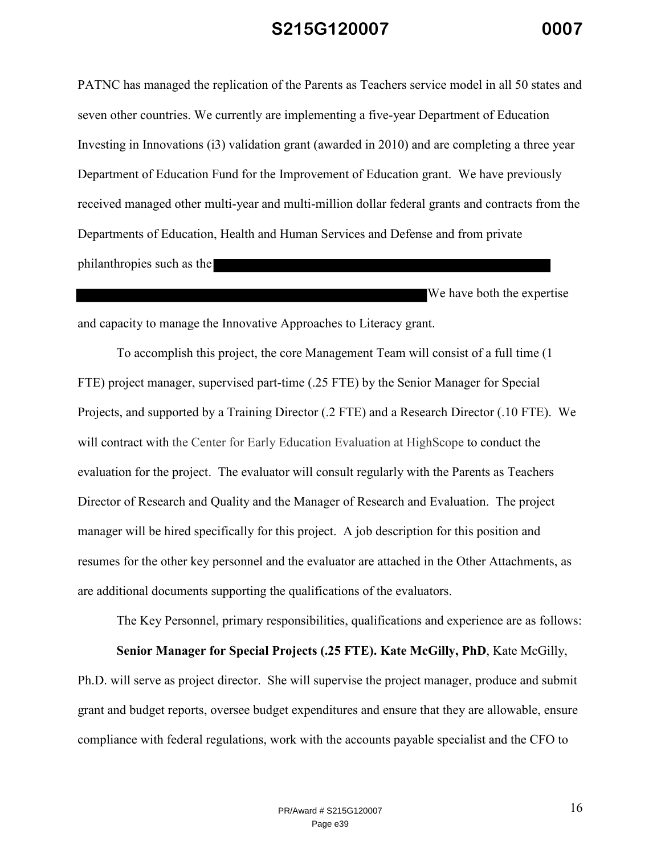PATNC has managed the replication of the Parents as Teachers service model in all 50 states and seven other countries. We currently are implementing a five-year Department of Education Investing in Innovations (i3) validation grant (awarded in 2010) and are completing a three year Department of Education Fund for the Improvement of Education grant. We have previously received managed other multi-year and multi-million dollar federal grants and contracts from the Departments of Education, Health and Human Services and Defense and from private philanthropies such as the

We have both the expertise and capacity to manage the Innovative Approaches to Literacy grant.

 To accomplish this project, the core Management Team will consist of a full time (1 FTE) project manager, supervised part-time (.25 FTE) by the Senior Manager for Special Projects, and supported by a Training Director (.2 FTE) and a Research Director (.10 FTE). We will contract with the Center for Early Education Evaluation at HighScope to conduct the evaluation for the project. The evaluator will consult regularly with the Parents as Teachers Director of Research and Quality and the Manager of Research and Evaluation. The project manager will be hired specifically for this project. A job description for this position and resumes for the other key personnel and the evaluator are attached in the Other Attachments, as are additional documents supporting the qualifications of the evaluators.

The Key Personnel, primary responsibilities, qualifications and experience are as follows:

 **Senior Manager for Special Projects (.25 FTE). Kate McGilly, PhD**, Kate McGilly, Ph.D. will serve as project director. She will supervise the project manager, produce and submit grant and budget reports, oversee budget expenditures and ensure that they are allowable, ensure compliance with federal regulations, work with the accounts payable specialist and the CFO to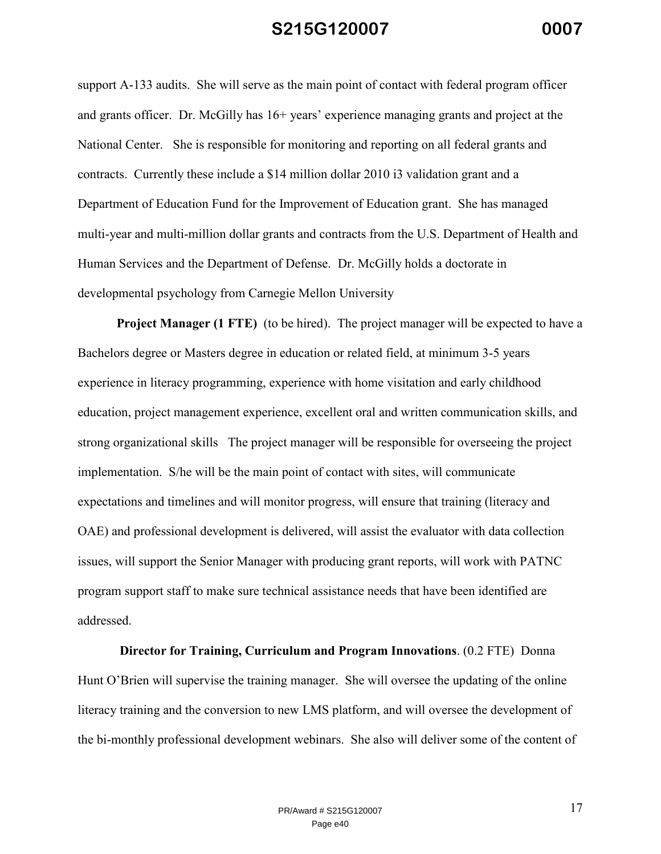support A-133 audits. She will serve as the main point of contact with federal program officer and grants officer. Dr. McGilly has 16+ years' experience managing grants and project at the National Center. She is responsible for monitoring and reporting on all federal grants and contracts. Currently these include a \$14 million dollar 2010 i3 validation grant and a Department of Education Fund for the Improvement of Education grant. She has managed multi-year and multi-million dollar grants and contracts from the U.S. Department of Health and Human Services and the Department of Defense. Dr. McGilly holds a doctorate in developmental psychology from Carnegie Mellon University

**Project Manager (1 FTE)** (to be hired). The project manager will be expected to have a Bachelors degree or Masters degree in education or related field, at minimum 3-5 years experience in literacy programming, experience with home visitation and early childhood education, project management experience, excellent oral and written communication skills, and strong organizational skills The project manager will be responsible for overseeing the project implementation. S/he will be the main point of contact with sites, will communicate expectations and timelines and will monitor progress, will ensure that training (literacy and OAE) and professional development is delivered, will assist the evaluator with data collection issues, will support the Senior Manager with producing grant reports, will work with PATNC program support staff to make sure technical assistance needs that have been identified are addressed.

**Director for Training, Curriculum and Program Innovations**. (0.2 FTE) Donna Hunt O'Brien will supervise the training manager. She will oversee the updating of the online literacy training and the conversion to new LMS platform, and will oversee the development of the bi-monthly professional development webinars. She also will deliver some of the content of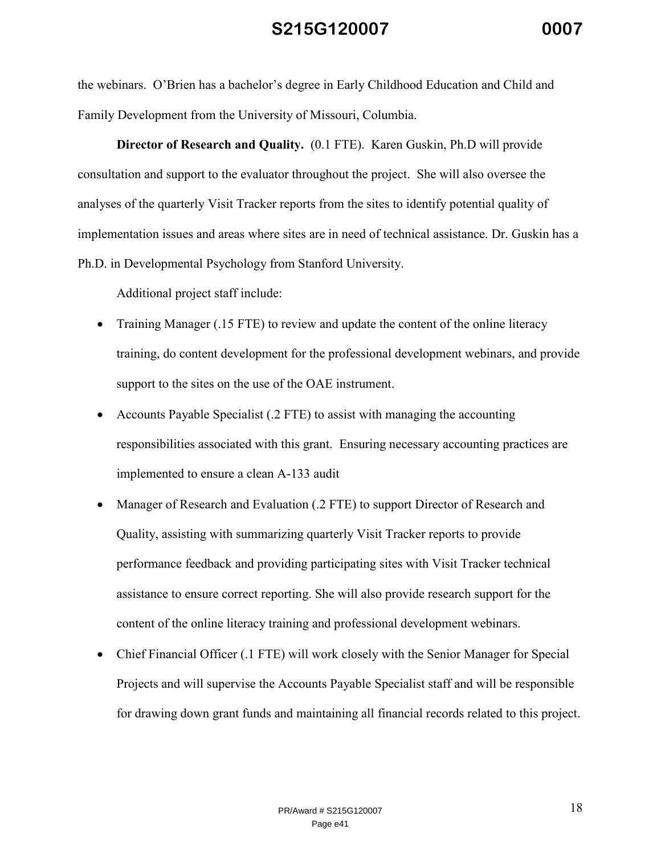the webinars. O'Brien has a bachelor's degree in Early Childhood Education and Child and Family Development from the University of Missouri, Columbia.

 **Director of Research and Quality.** (0.1 FTE). Karen Guskin, Ph.D will provide consultation and support to the evaluator throughout the project. She will also oversee the analyses of the quarterly Visit Tracker reports from the sites to identify potential quality of implementation issues and areas where sites are in need of technical assistance. Dr. Guskin has a Ph.D. in Developmental Psychology from Stanford University.

Additional project staff include:

- Training Manager (.15 FTE) to review and update the content of the online literacy training, do content development for the professional development webinars, and provide support to the sites on the use of the OAE instrument.
- Accounts Payable Specialist (.2 FTE) to assist with managing the accounting responsibilities associated with this grant. Ensuring necessary accounting practices are implemented to ensure a clean A-133 audit
- Manager of Research and Evaluation (.2 FTE) to support Director of Research and Quality, assisting with summarizing quarterly Visit Tracker reports to provide performance feedback and providing participating sites with Visit Tracker technical assistance to ensure correct reporting. She will also provide research support for the content of the online literacy training and professional development webinars.
- Chief Financial Officer (.1 FTE) will work closely with the Senior Manager for Special Projects and will supervise the Accounts Payable Specialist staff and will be responsible for drawing down grant funds and maintaining all financial records related to this project.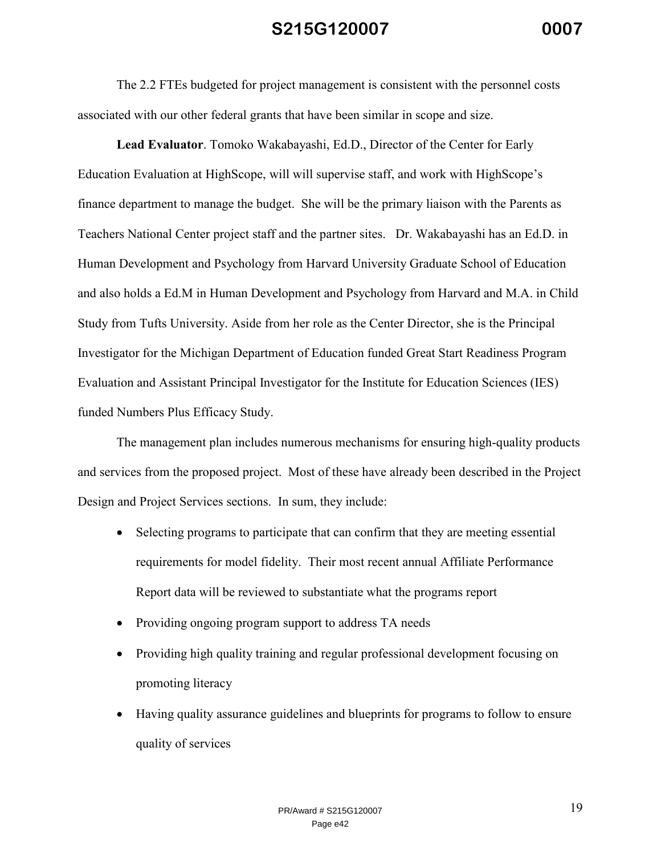The 2.2 FTEs budgeted for project management is consistent with the personnel costs associated with our other federal grants that have been similar in scope and size.

**Lead Evaluator**. Tomoko Wakabayashi, Ed.D., Director of the Center for Early Education Evaluation at HighScope, will will supervise staff, and work with HighScope's finance department to manage the budget. She will be the primary liaison with the Parents as Teachers National Center project staff and the partner sites. Dr. Wakabayashi has an Ed.D. in Human Development and Psychology from Harvard University Graduate School of Education and also holds a Ed.M in Human Development and Psychology from Harvard and M.A. in Child Study from Tufts University. Aside from her role as the Center Director, she is the Principal Investigator for the Michigan Department of Education funded Great Start Readiness Program Evaluation and Assistant Principal Investigator for the Institute for Education Sciences (IES) funded Numbers Plus Efficacy Study.

 The management plan includes numerous mechanisms for ensuring high-quality products and services from the proposed project. Most of these have already been described in the Project Design and Project Services sections. In sum, they include:

- Selecting programs to participate that can confirm that they are meeting essential requirements for model fidelity. Their most recent annual Affiliate Performance Report data will be reviewed to substantiate what the programs report
- Providing ongoing program support to address TA needs
- Providing high quality training and regular professional development focusing on promoting literacy
- Having quality assurance guidelines and blueprints for programs to follow to ensure quality of services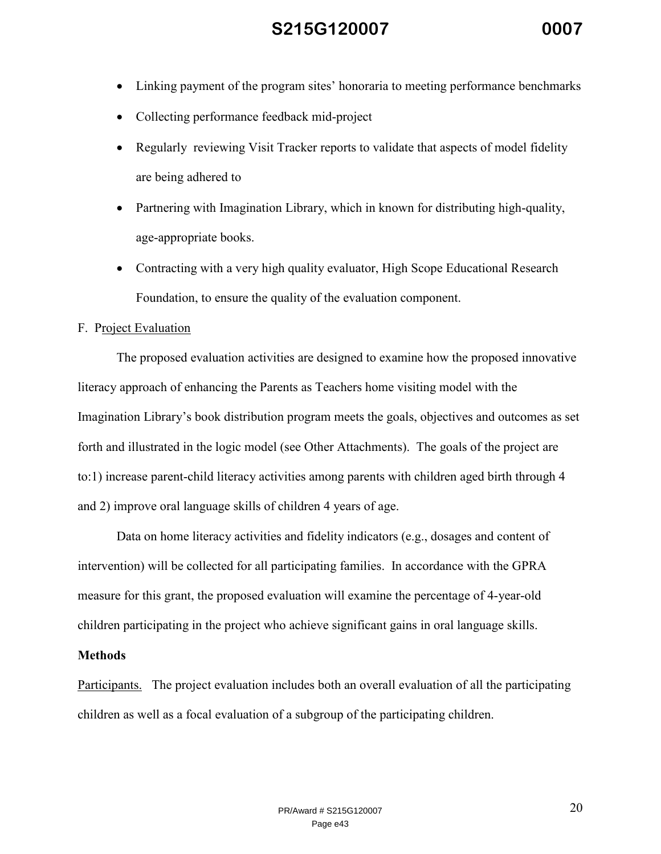- Linking payment of the program sites' honoraria to meeting performance benchmarks
- Collecting performance feedback mid-project
- Regularly reviewing Visit Tracker reports to validate that aspects of model fidelity are being adhered to
- Partnering with Imagination Library, which in known for distributing high-quality, age-appropriate books.
- Contracting with a very high quality evaluator, High Scope Educational Research Foundation, to ensure the quality of the evaluation component.

#### F. Project Evaluation

The proposed evaluation activities are designed to examine how the proposed innovative literacy approach of enhancing the Parents as Teachers home visiting model with the Imagination Library's book distribution program meets the goals, objectives and outcomes as set forth and illustrated in the logic model (see Other Attachments). The goals of the project are to:1) increase parent-child literacy activities among parents with children aged birth through 4 and 2) improve oral language skills of children 4 years of age.

 Data on home literacy activities and fidelity indicators (e.g., dosages and content of intervention) will be collected for all participating families. In accordance with the GPRA measure for this grant, the proposed evaluation will examine the percentage of 4-year-old children participating in the project who achieve significant gains in oral language skills.

#### **Methods**

Participants. The project evaluation includes both an overall evaluation of all the participating children as well as a focal evaluation of a subgroup of the participating children.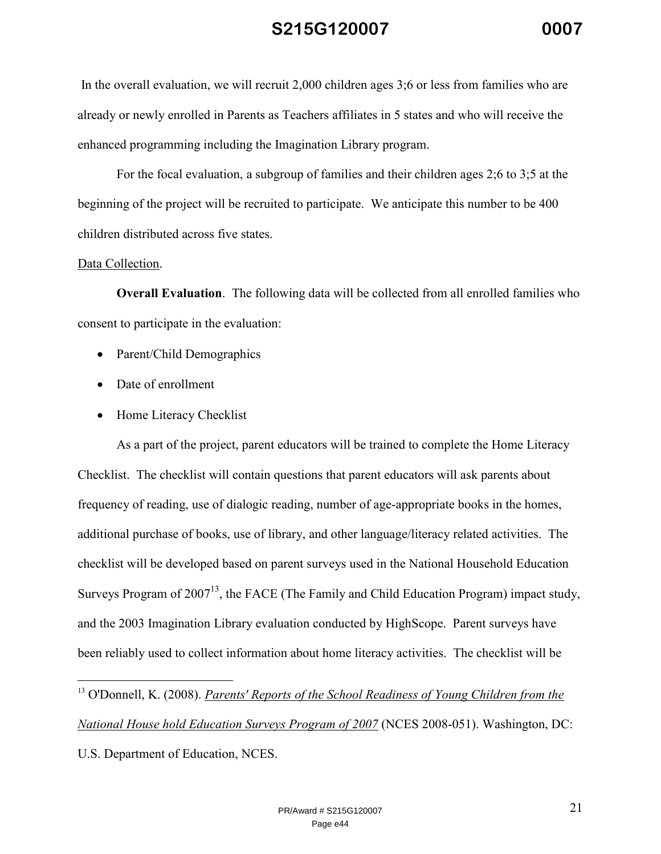In the overall evaluation, we will recruit 2,000 children ages 3;6 or less from families who are already or newly enrolled in Parents as Teachers affiliates in 5 states and who will receive the enhanced programming including the Imagination Library program.

For the focal evaluation, a subgroup of families and their children ages 2;6 to 3;5 at the beginning of the project will be recruited to participate. We anticipate this number to be 400 children distributed across five states.

#### Data Collection.

<u>.</u>

**Overall Evaluation.** The following data will be collected from all enrolled families who consent to participate in the evaluation:

- Parent/Child Demographics
- Date of enrollment
- Home Literacy Checklist

 As a part of the project, parent educators will be trained to complete the Home Literacy Checklist. The checklist will contain questions that parent educators will ask parents about frequency of reading, use of dialogic reading, number of age-appropriate books in the homes, additional purchase of books, use of library, and other language/literacy related activities. The checklist will be developed based on parent surveys used in the National Household Education Surveys Program of  $2007^{13}$ , the FACE (The Family and Child Education Program) impact study, and the 2003 Imagination Library evaluation conducted by HighScope. Parent surveys have been reliably used to collect information about home literacy activities. The checklist will be

<sup>13</sup> O'Donnell, K. (2008). *Parents' Reports of the School Readiness of Young Children from the National House hold Education Surveys Program of 2007* (NCES 2008-051). Washington, DC: U.S. Department of Education, NCES.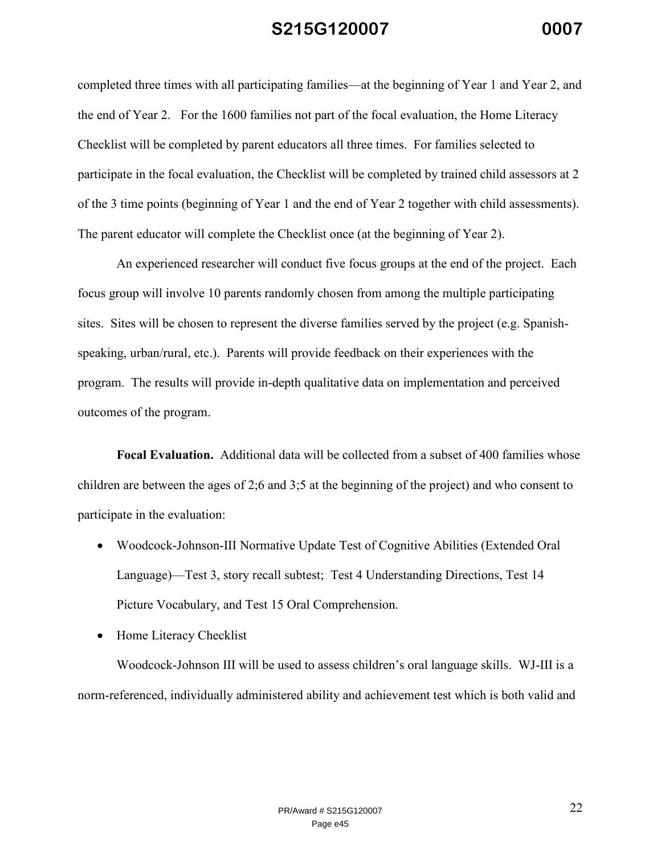completed three times with all participating families—at the beginning of Year 1 and Year 2, and the end of Year 2. For the 1600 families not part of the focal evaluation, the Home Literacy Checklist will be completed by parent educators all three times. For families selected to participate in the focal evaluation, the Checklist will be completed by trained child assessors at 2 of the 3 time points (beginning of Year 1 and the end of Year 2 together with child assessments). The parent educator will complete the Checklist once (at the beginning of Year 2).

An experienced researcher will conduct five focus groups at the end of the project. Each focus group will involve 10 parents randomly chosen from among the multiple participating sites. Sites will be chosen to represent the diverse families served by the project (e.g. Spanishspeaking, urban/rural, etc.). Parents will provide feedback on their experiences with the program. The results will provide in-depth qualitative data on implementation and perceived outcomes of the program.

**Focal Evaluation.** Additional data will be collected from a subset of 400 families whose children are between the ages of 2;6 and 3;5 at the beginning of the project) and who consent to participate in the evaluation:

- Woodcock-Johnson-III Normative Update Test of Cognitive Abilities (Extended Oral Language)—Test 3, story recall subtest; Test 4 Understanding Directions, Test 14 Picture Vocabulary, and Test 15 Oral Comprehension.
- Home Literacy Checklist

 Woodcock-Johnson III will be used to assess children's oral language skills. WJ-III is a norm-referenced, individually administered ability and achievement test which is both valid and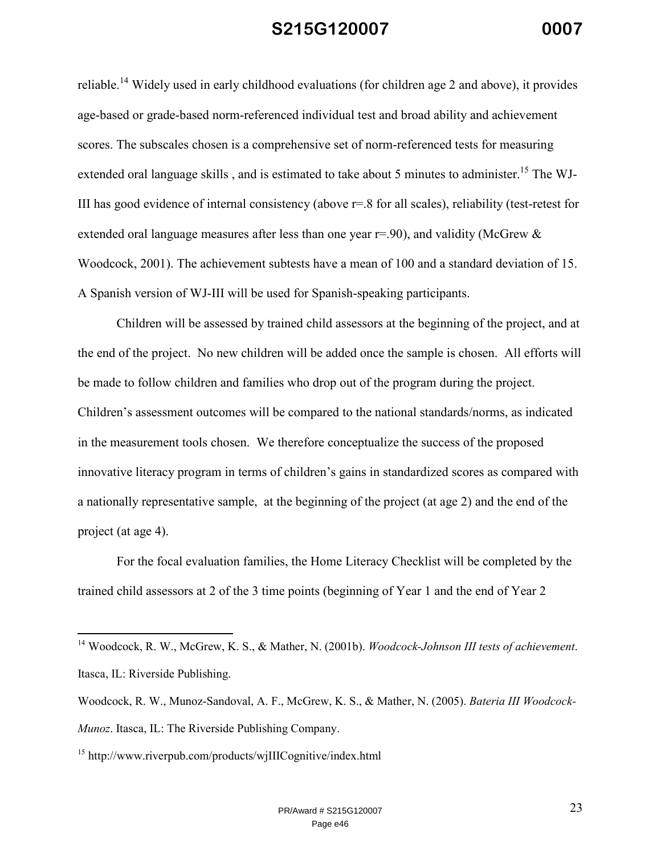reliable.<sup>14</sup> Widely used in early childhood evaluations (for children age 2 and above), it provides age-based or grade-based norm-referenced individual test and broad ability and achievement scores. The subscales chosen is a comprehensive set of norm-referenced tests for measuring extended oral language skills, and is estimated to take about 5 minutes to administer.<sup>15</sup> The WJ-III has good evidence of internal consistency (above r=.8 for all scales), reliability (test-retest for extended oral language measures after less than one year  $r=0.90$ , and validity (McGrew  $\&$ Woodcock, 2001). The achievement subtests have a mean of 100 and a standard deviation of 15. A Spanish version of WJ-III will be used for Spanish-speaking participants.

Children will be assessed by trained child assessors at the beginning of the project, and at the end of the project. No new children will be added once the sample is chosen. All efforts will be made to follow children and families who drop out of the program during the project. Children's assessment outcomes will be compared to the national standards/norms, as indicated in the measurement tools chosen. We therefore conceptualize the success of the proposed innovative literacy program in terms of children's gains in standardized scores as compared with a nationally representative sample, at the beginning of the project (at age 2) and the end of the project (at age 4).

For the focal evaluation families, the Home Literacy Checklist will be completed by the trained child assessors at 2 of the 3 time points (beginning of Year 1 and the end of Year 2

<sup>15</sup> http://www.riverpub.com/products/wjIIICognitive/index.html

-

<sup>14</sup> Woodcock, R. W., McGrew, K. S., & Mather, N. (2001b). *Woodcock-Johnson III tests of achievement*. Itasca, IL: Riverside Publishing.

Woodcock, R. W., Munoz-Sandoval, A. F., McGrew, K. S., & Mather, N. (2005). *Bateria III Woodcock-Munoz*. Itasca, IL: The Riverside Publishing Company.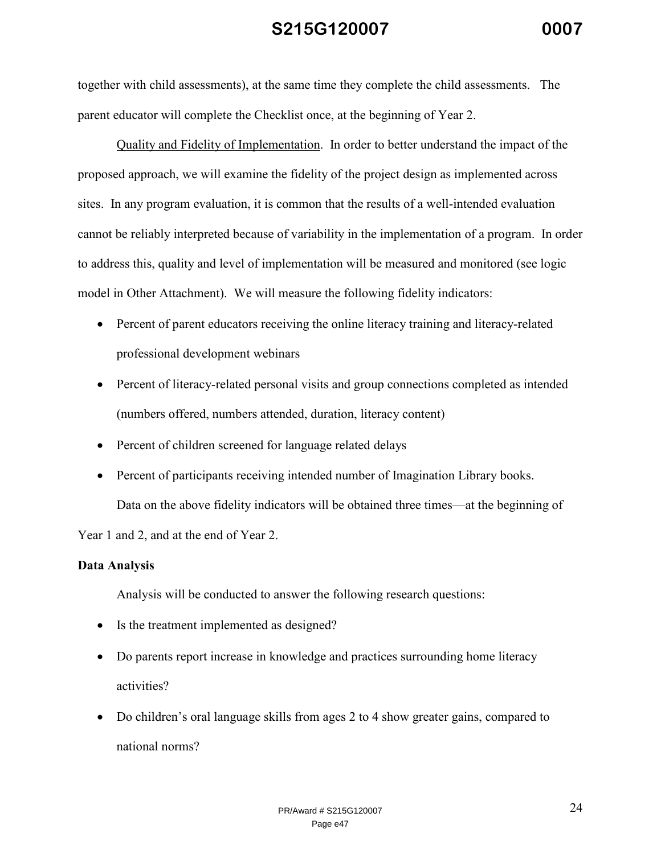together with child assessments), at the same time they complete the child assessments. The parent educator will complete the Checklist once, at the beginning of Year 2.

 Quality and Fidelity of Implementation. In order to better understand the impact of the proposed approach, we will examine the fidelity of the project design as implemented across sites. In any program evaluation, it is common that the results of a well-intended evaluation cannot be reliably interpreted because of variability in the implementation of a program. In order to address this, quality and level of implementation will be measured and monitored (see logic model in Other Attachment). We will measure the following fidelity indicators:

- Percent of parent educators receiving the online literacy training and literacy-related professional development webinars
- Percent of literacy-related personal visits and group connections completed as intended (numbers offered, numbers attended, duration, literacy content)
- Percent of children screened for language related delays
- Percent of participants receiving intended number of Imagination Library books.

 Data on the above fidelity indicators will be obtained three times—at the beginning of Year 1 and 2, and at the end of Year 2.

### **Data Analysis**

Analysis will be conducted to answer the following research questions:

- Is the treatment implemented as designed?
- Do parents report increase in knowledge and practices surrounding home literacy activities?
- Do children's oral language skills from ages 2 to 4 show greater gains, compared to national norms?